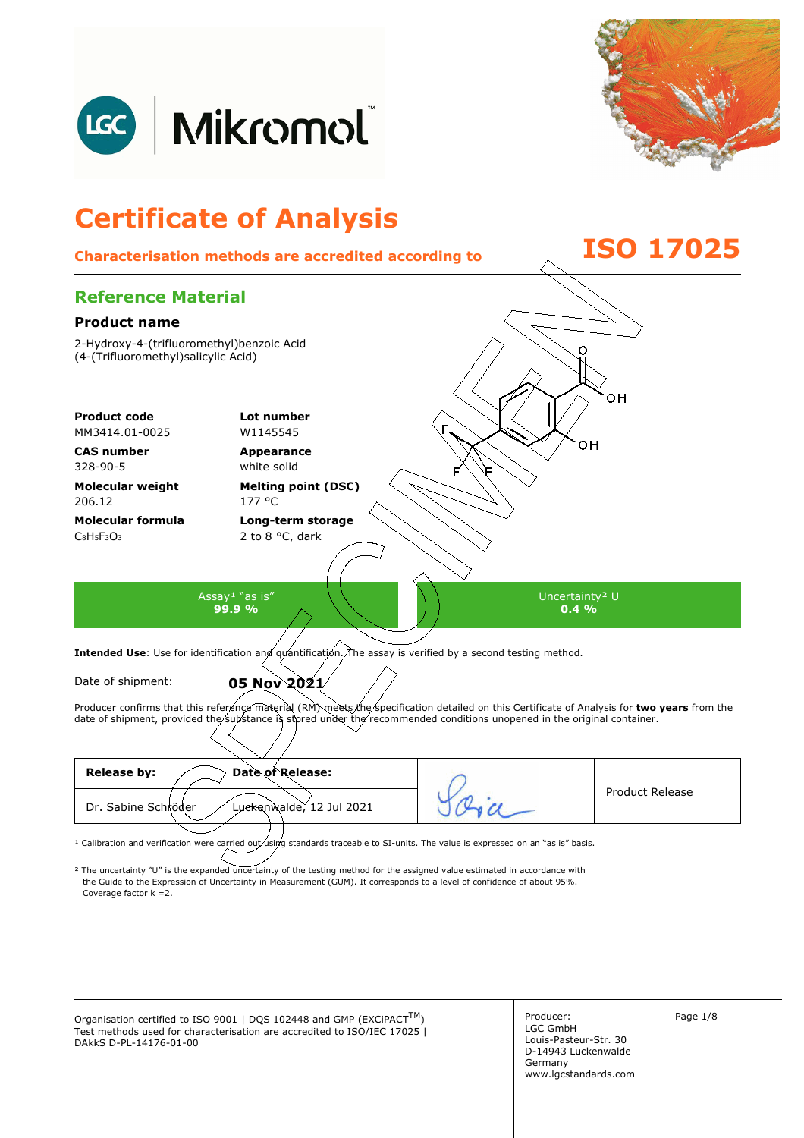



## **Certificate of Analysis Characterisation methods are accredited according to ISO 17025 Reference Material Product name**  2-Hydroxy-4-(trifluoromethyl)benzoic Acid C (4-(Trifluoromethyl)salicylic Acid) **Product code Lot number** MM3414.01-0025 W1145545 **CAS number Appearance**  328-90-5 white solid **Molecular weight Melting point (DSC)**  206.12 177 °C **Molecular formula Long-term storage**  2 to 8 °C, dark  $C_8H_5F_3O_3$ Assay<sup>1</sup> "as is" Uncertainty² U **99.9 %**   $0.4\%$ Intended Use: Use for identification and quantification. The assay is verified by a second testing method. Date of shipment: **05 Nov 2021** Producer confirms that this reference material (RM) meets the specification detailed on this Certificate of Analysis for two years from the date of shipment, provided the substance is stored under the recommended conditions unopened in the original container.

| Date of Release:<br><b>Release by:</b>          |                        |
|-------------------------------------------------|------------------------|
| Luckenwalde, 12 Jul 2021<br>Dr. Sabine Schröder | <b>Product Release</b> |
|                                                 |                        |

<sup>1</sup> Calibration and verification were carried out using standards traceable to SI-units. The value is expressed on an "as is" basis.

² The uncertainty "U" is the expanded uncertainty of the testing method for the assigned value estimated in accordance with Coverage factor k =2. the Guide to the Expression of Uncertainty in Measurement (GUM). It corresponds to a level of confidence of about 95%.

Organisation certified to ISO 9001 | DQS 102448 and GMP (EXCiPACT<sup>TM</sup>)  $\vert$  Producer:  $\vert$  Page 1/8 Test methods used for characterisation are accredited to ISO/IEC 17025 | DAkkS D-PL-14176-01-00

Producer: LGC GmbH Louis-Pasteur-Str. 30 D-14943 Luckenwalde Germany www.lgcstandards.com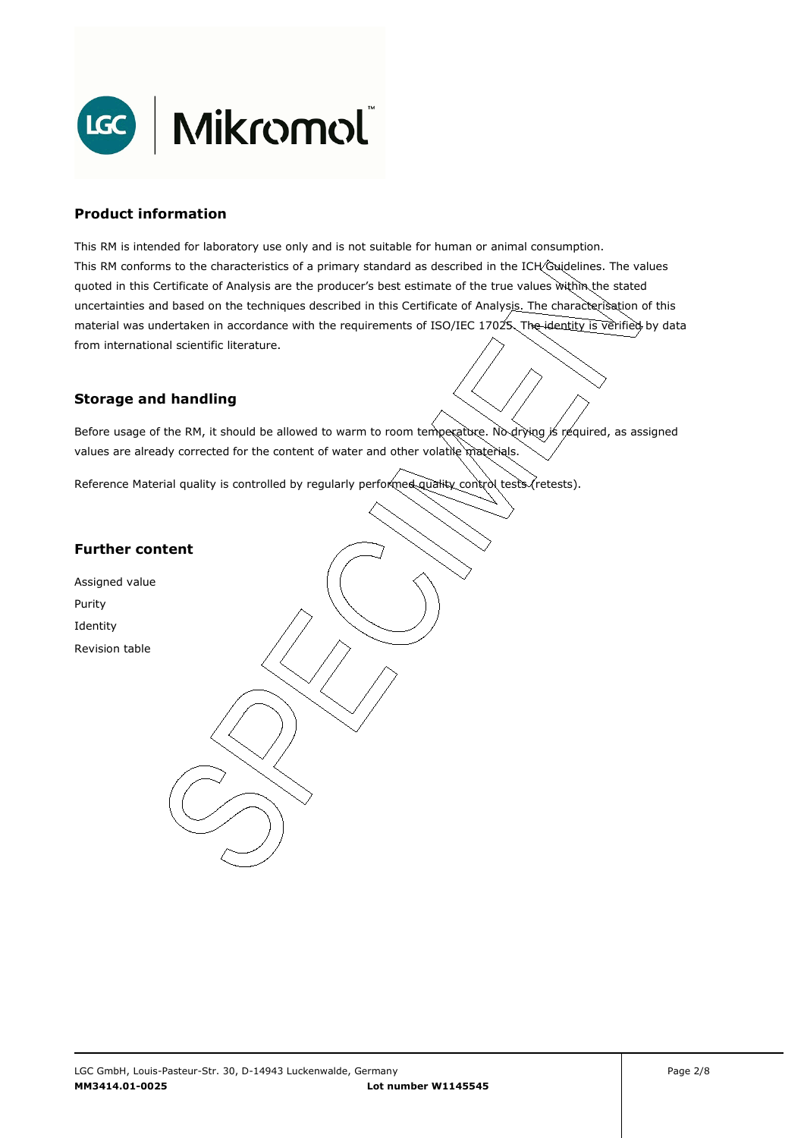

#### **Product information**

This RM is intended for laboratory use only and is not suitable for human or animal consumption. This RM conforms to the characteristics of a primary standard as described in the ICH Guidelines. The values quoted in this Certificate of Analysis are the producer's best estimate of the true values within the stated uncertainties and based on the techniques described in this Certificate of Analysis. The characterisation of this material was undertaken in accordance with the requirements of ISO/IEC 17025. The identity is verified by data from international scientific literature.

## **Storage and handling**

Before usage of the RM, it should be allowed to warm to room temperature. No drying is required, as assigned values are already corrected for the content of water and other volatile materials.

Reference Material quality is controlled by regularly performed quality control tests (retests).

## **Further content**

Assigned value Purity Identity Revision table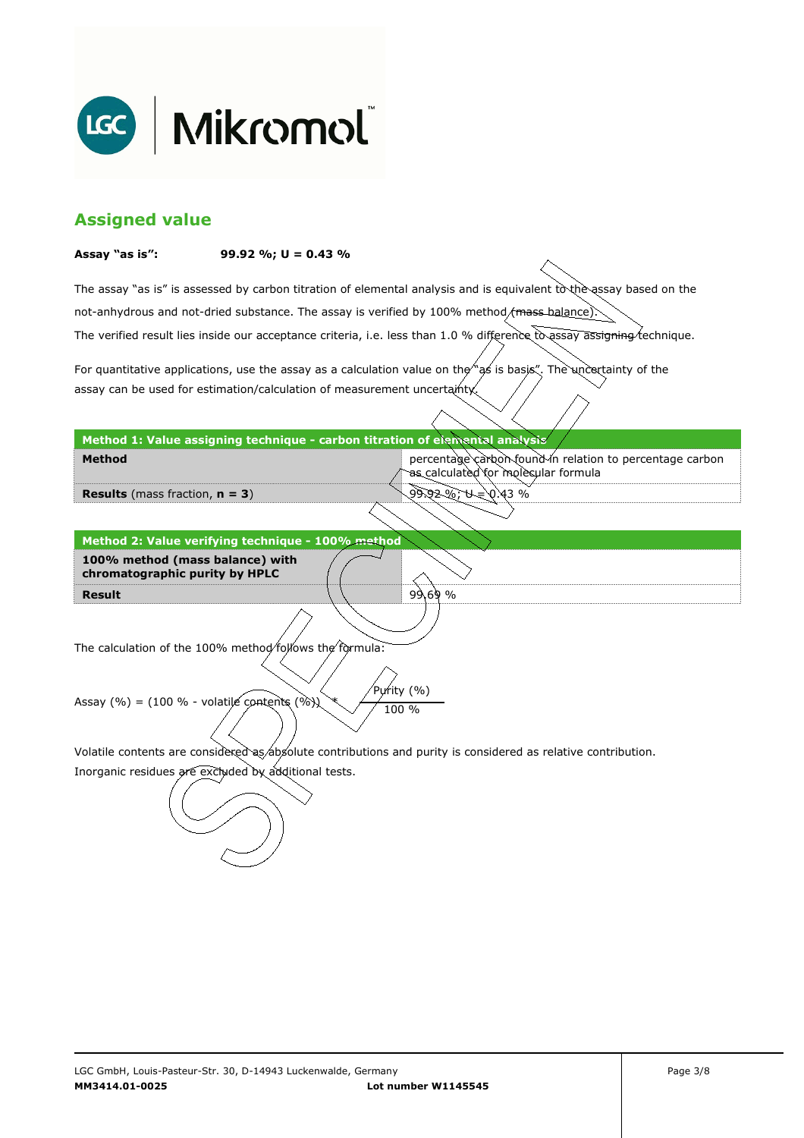

# **Assigned value**

#### **Assay "as is": 99.92 %; U = 0.43 %**

The assay "as is" is assessed by carbon titration of elemental analysis and is equivalent to the assay based on the The verified result lies inside our acceptance criteria, i.e. less than 1.0 % difference to assay assigning technique. not-anhydrous and not-dried substance. The assay is verified by 100% method/mass-balance)

For quantitative applications, use the assay as a calculation value on the  $\gamma$  as is basis". The uncertainty of the assay can be used for estimation/calculation of measurement uncertainty.

#### **Method 1: Value assigning technique - carbon titration of elemental analysis**

percentage carbon found in relation to percentage carbon as calculated for molecular formula

99.92 %; U = 0.43 %

99.69 %

**Results** (mass fraction, **n = 3**)

**Method** 

**Result Method 2: Value verifying technique - 100% method 100% method (mass balance) with chromatographic purity by HPLC** 

The calculation of the 100% method follows the formula:

Purity (%) Assay (%) = (100 % - volatile contents (%)  $\chi$  / 100 %

Volatile contents are considered as absolute contributions and purity is considered as relative contribution.

Inorganic residues are excluded by additional tests.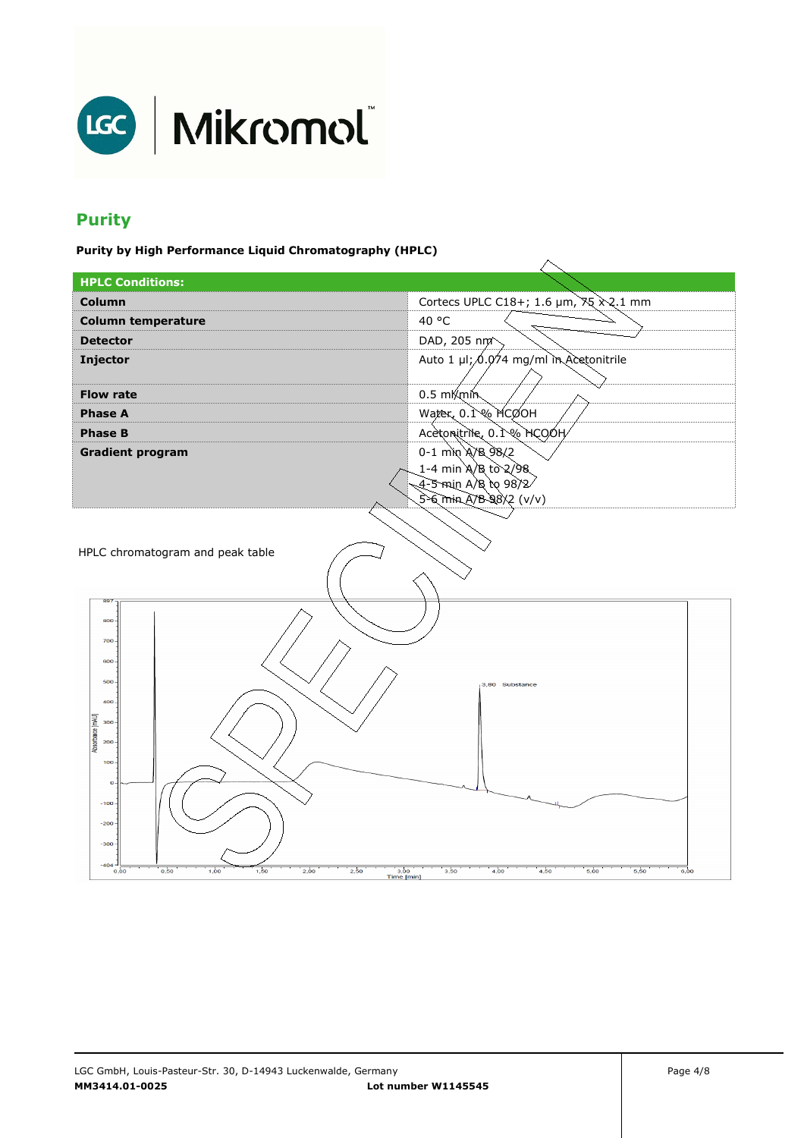

# **Purity**

**Purity by High Performance Liquid Chromatography (HPLC)** 

| <br>. <b>.</b>                                                     |                                                                  |  |
|--------------------------------------------------------------------|------------------------------------------------------------------|--|
| <b>HPLC Conditions:</b>                                            |                                                                  |  |
| Column                                                             | Cortecs UPLC C18+; 1.6 $\mu$ m, $\frac{35}{2}$ $\frac{20}{1}$ mm |  |
| <b>Column temperature</b>                                          | 40 °C                                                            |  |
| <b>Detector</b>                                                    | DAD, 205 nm <sup>2</sup>                                         |  |
| Injector                                                           | Auto 1 µl; 0.074 mg/ml in Acetonitrile                           |  |
|                                                                    |                                                                  |  |
| <b>Flow rate</b>                                                   | $0.5 \text{ mK}$ min                                             |  |
| <b>Phase A</b>                                                     | Water, 0.1% MCOOH                                                |  |
| <b>Phase B</b>                                                     | Acetonitrile, 0.1% HCOOH                                         |  |
| <b>Gradient program</b>                                            | 0-1 min A/B 98/2                                                 |  |
|                                                                    | 1-4 min A/B to 2/98                                              |  |
|                                                                    | 4-5 min A/B to 98/2/                                             |  |
|                                                                    | $5 - 6$ min A/B 98/2 (v/v)                                       |  |
|                                                                    |                                                                  |  |
| HPLC chromatogram and peak table                                   |                                                                  |  |
|                                                                    |                                                                  |  |
|                                                                    |                                                                  |  |
| 897                                                                |                                                                  |  |
| 800                                                                |                                                                  |  |
| 700-                                                               |                                                                  |  |
| 600-                                                               |                                                                  |  |
| $500 -$                                                            | 3,80 Substance                                                   |  |
| $400 -$                                                            |                                                                  |  |
| $300 -$                                                            |                                                                  |  |
| Absorbance [mAU]                                                   |                                                                  |  |
| $200 -$                                                            |                                                                  |  |
| $100 -$                                                            |                                                                  |  |
| $\mathbf 0$                                                        |                                                                  |  |
| $-100 -$                                                           |                                                                  |  |
| $-200$                                                             |                                                                  |  |
| $-300$                                                             |                                                                  |  |
| $-404 -$                                                           |                                                                  |  |
| 1,00<br>2,00<br>2,50<br>0,50<br>1,50<br>3,00<br>0,00<br>Time [min] | 3,50<br>4,00<br>4,50<br>5,00<br>5,50<br>6,00                     |  |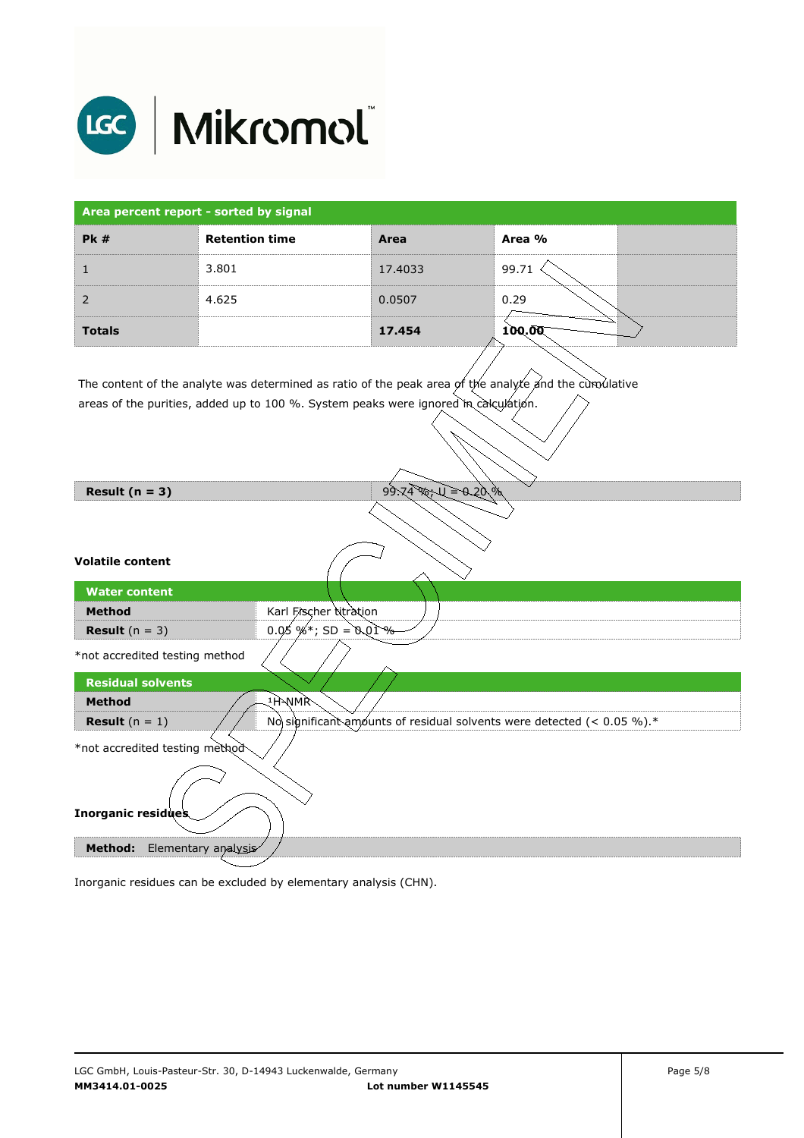

| Area percent report - sorted by signal |                       |         |        |
|----------------------------------------|-----------------------|---------|--------|
| PK#                                    | <b>Retention time</b> | Area    | Area % |
|                                        | 3.801                 | 17.4033 | 99.71  |
|                                        | 4.625                 | 0.0507  | 0.29   |
| <b>Totals</b>                          |                       | 17.454  | 100.00 |

The content of the analyte was determined as ratio of the peak area of the analyte and the cumulative areas of the purities, added up to 100 %. System peaks were ignored in calculation.

| Result $(n = 3)$                                                   | $99.74$ m = 0.20%                                                         |
|--------------------------------------------------------------------|---------------------------------------------------------------------------|
|                                                                    |                                                                           |
| <b>Volatile content</b>                                            |                                                                           |
| <b>Water content</b>                                               |                                                                           |
| <b>Method</b>                                                      | Karl Fischer titration                                                    |
| <b>Result</b> $(n = 3)$                                            | $0.05 \%$ % is $SD = 0.01 \%$                                             |
| *not accredited testing method                                     |                                                                           |
| <b>Residual solvents</b>                                           |                                                                           |
| <b>Method</b>                                                      | ्भेभMR                                                                    |
| <b>Result</b> $(n = 1)$                                            | No significant amounts of residual solvents were detected (< $0.05\%$ ).* |
| *not accredited testing method                                     |                                                                           |
| <b>Inorganic residues</b><br><b>Method:</b><br>Elementary analysis |                                                                           |
|                                                                    |                                                                           |

Inorganic residues can be excluded by elementary analysis (CHN).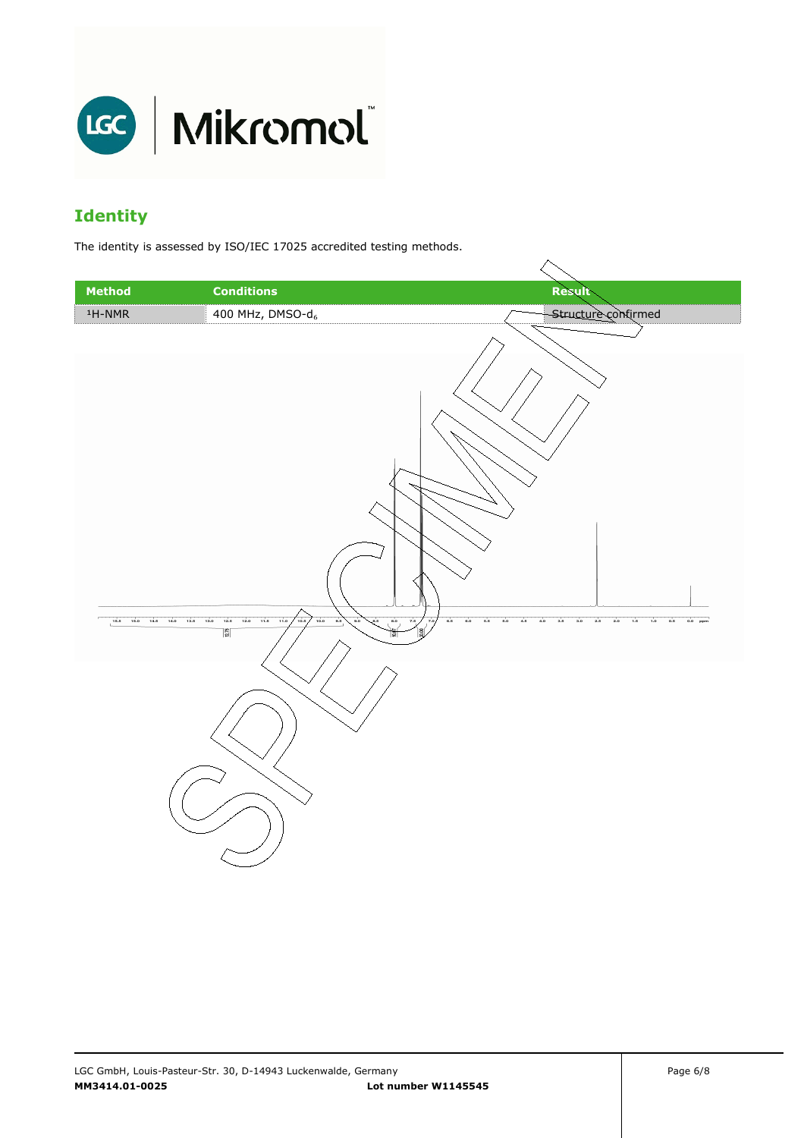

# **Identity**

The identity is assessed by ISO/IEC 17025 accredited testing methods.

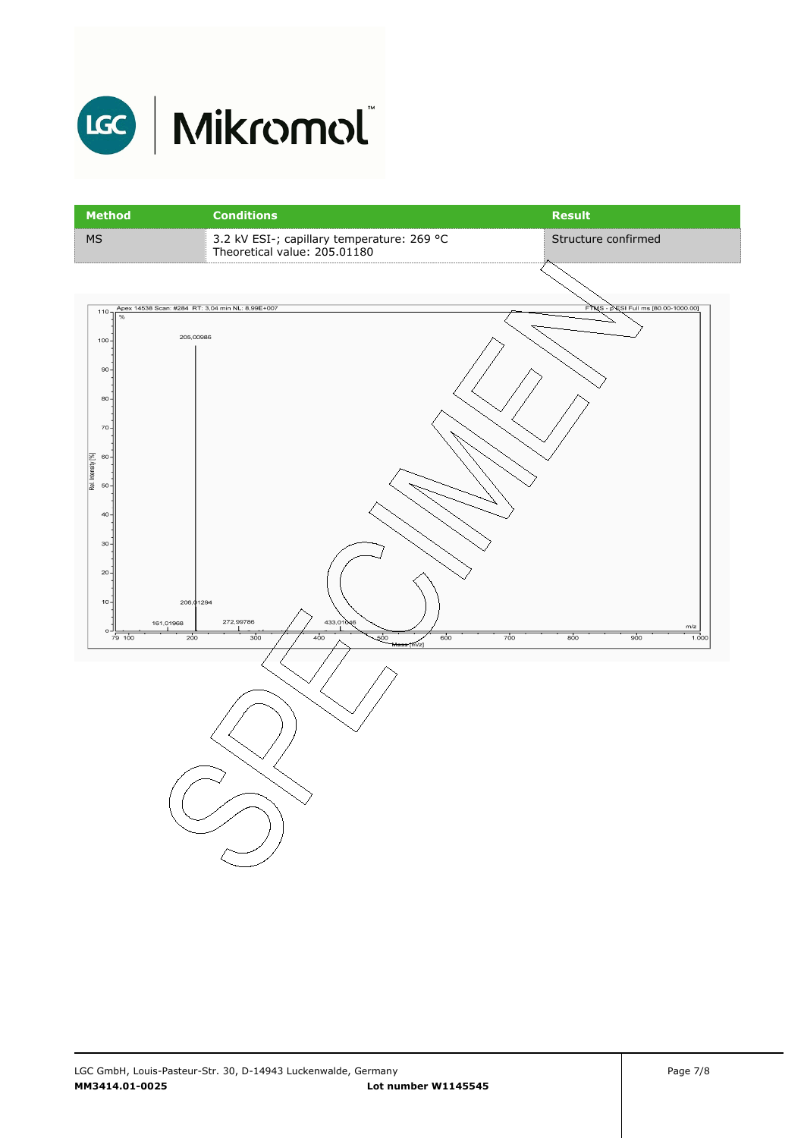

| <b>Method</b>                                                                               | <b>Conditions</b>                                                           | <b>Result</b>                       |
|---------------------------------------------------------------------------------------------|-----------------------------------------------------------------------------|-------------------------------------|
| <b>MS</b>                                                                                   | 3.2 kV ESI-; capillary temperature: 269 °C<br>Theoretical value: 205.01180  | Structure confirmed                 |
|                                                                                             |                                                                             |                                     |
| Apex 14538 Scan: #284 RT: 3,04 min NL: 8,99E+007<br>$110 -$<br>$\%$<br>205,00986<br>$100 -$ |                                                                             | FTMS - PESI Full ms [80.00-1000.00] |
| 90 <sub>o</sub><br>$80 -$                                                                   |                                                                             |                                     |
| $70 -$                                                                                      |                                                                             |                                     |
| Rel. Intensity [%]<br>$60 -$<br>$50 -$                                                      |                                                                             |                                     |
| $40 -$<br>$30 -$                                                                            |                                                                             |                                     |
| $20 -$<br>$10 -$<br>206,01294                                                               |                                                                             |                                     |
| 161,01968<br>$\circ$<br>79 100<br>200                                                       | 272,99786<br>433,01046<br>300<br>400<br>-500<br>700<br>600<br>Mass<br>[m/z] | $m/z$<br>800<br>900<br>1.000        |
|                                                                                             |                                                                             |                                     |